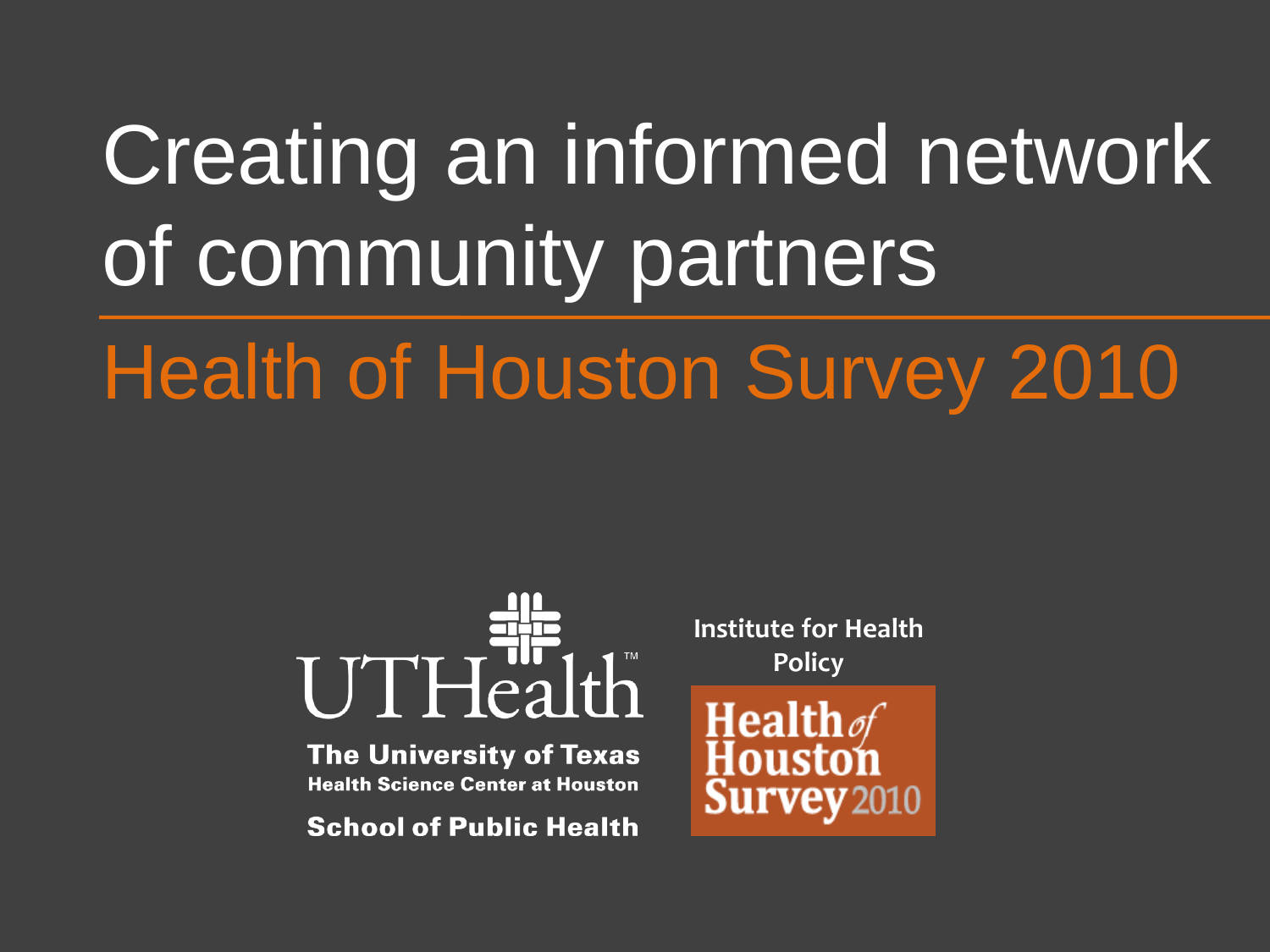# Creating an informed network of community partners

# **Health of Houston Survey 2010**



**The University of Texas Health Science Center at Houston** 

**School of Public Health** 

**Institute for Health Policy**

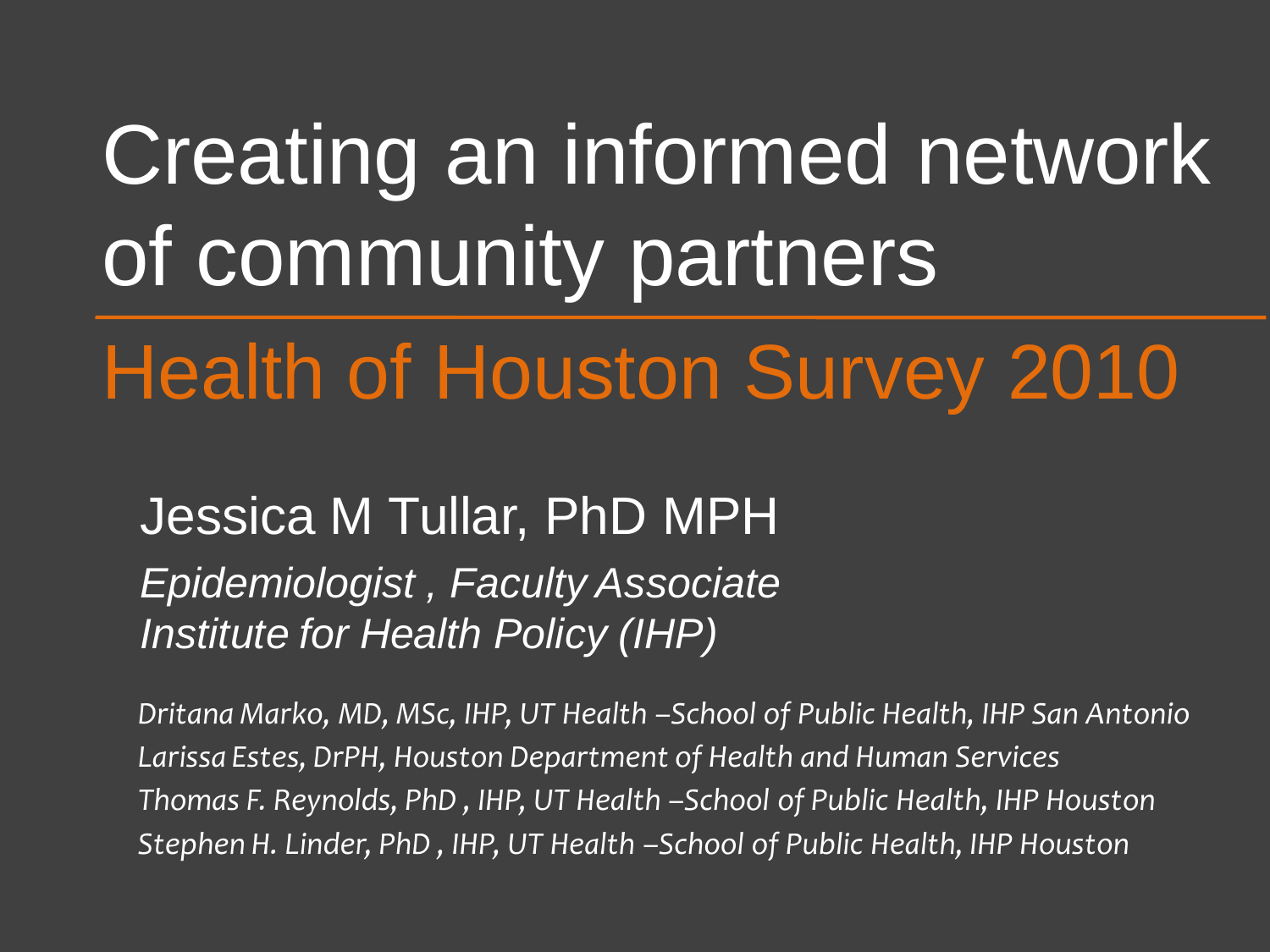# Creating an informed network of community partners

# Health of Houston Survey 2010

Jessica M Tullar, PhD MPH *Epidemiologist , Faculty Associate Institute for Health Policy (IHP)*

*Dritana Marko, MD, MSc, IHP, UT Health –School of Public Health, IHP San Antonio Larissa Estes, DrPH, Houston Department of Health and Human Services Thomas F. Reynolds, PhD , IHP, UT Health –School of Public Health, IHP Houston Stephen H. Linder, PhD , IHP, UT Health –School of Public Health, IHP Houston*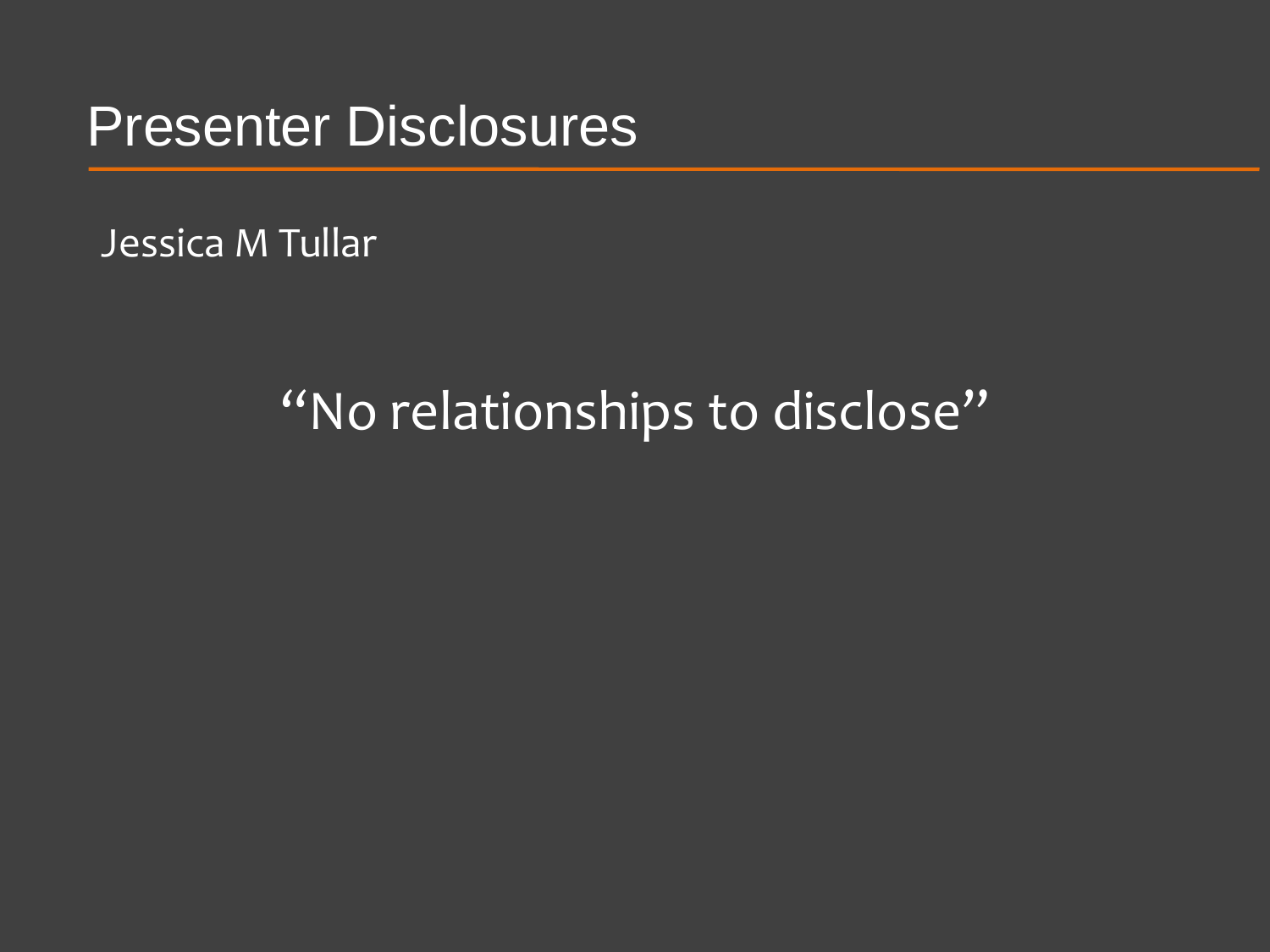Presenter Disclosures

Jessica M Tullar

#### "No relationships to disclose"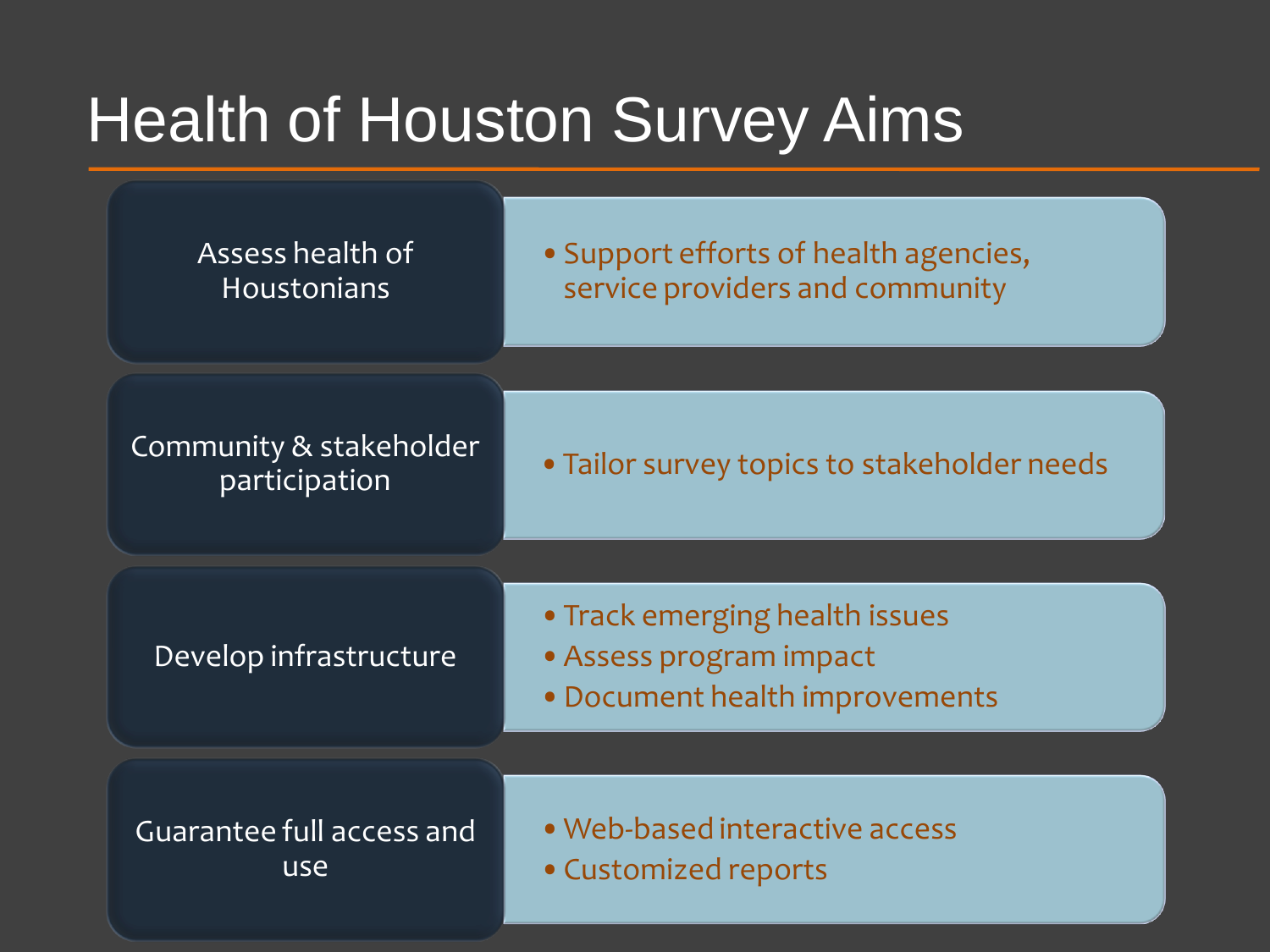#### Health of Houston Survey Aims

| Assess health of                         | • Support efforts of health agencies,                                                       |  |  |  |  |  |  |
|------------------------------------------|---------------------------------------------------------------------------------------------|--|--|--|--|--|--|
| <b>Houstonians</b>                       | service providers and community                                                             |  |  |  |  |  |  |
| Community & stakeholder<br>participation | • Tailor survey topics to stakeholder needs                                                 |  |  |  |  |  |  |
| Develop infrastructure                   | • Track emerging health issues<br>• Assess program impact<br>• Document health improvements |  |  |  |  |  |  |
| Guarantee full access and                | • Web-based interactive access                                                              |  |  |  |  |  |  |
| use                                      | • Customized reports                                                                        |  |  |  |  |  |  |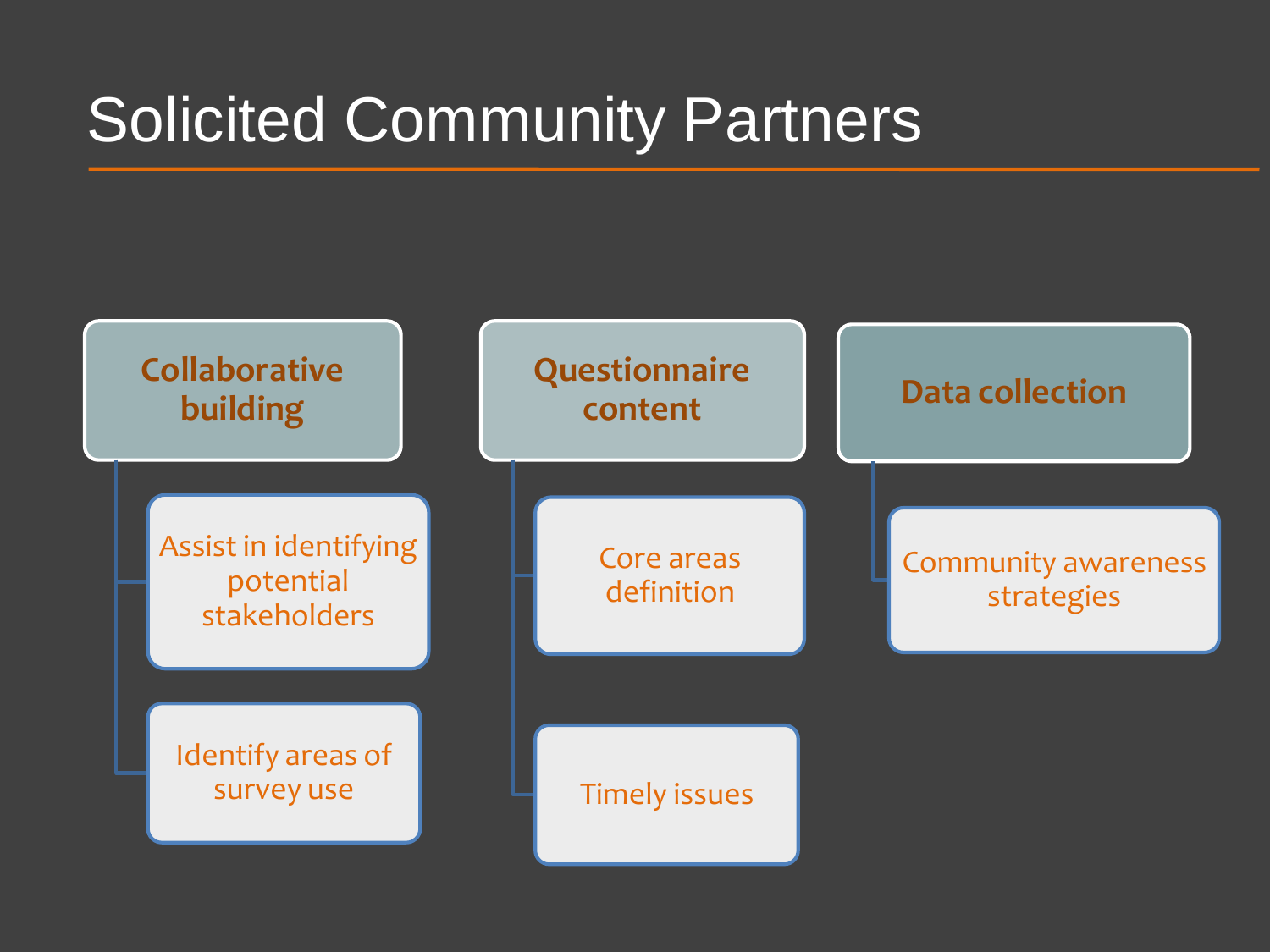### Solicited Community Partners

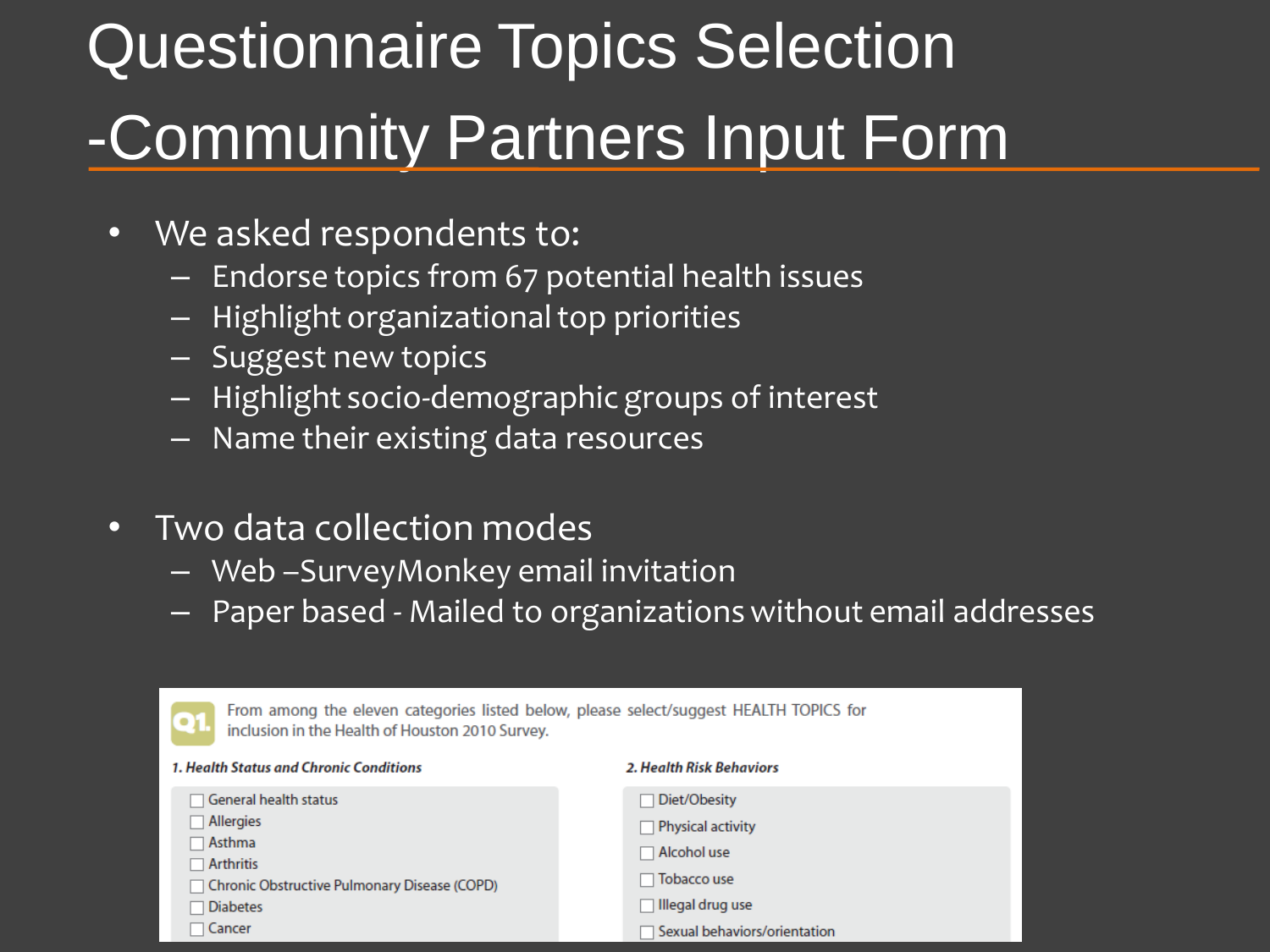# Questionnaire Topics Selection -Community Partners Input Form

- We asked respondents to:
	- Endorse topics from 67 potential health issues
	- Highlight organizational top priorities
	- Suggest new topics
	- Highlight socio-demographic groups of interest
	- Name their existing data resources
- Two data collection modes
	- Web –SurveyMonkey email invitation
	- Paper based Mailed to organizations without email addresses

| From among the eleven categories listed below, please select/suggest HEALTH TOPICS for<br>Q1<br>inclusion in the Health of Houston 2010 Survey. |                              |  |  |  |  |  |
|-------------------------------------------------------------------------------------------------------------------------------------------------|------------------------------|--|--|--|--|--|
| 1. Health Status and Chronic Conditions                                                                                                         | 2. Health Risk Behaviors     |  |  |  |  |  |
| $\Box$ General health status                                                                                                                    | Diet/Obesity                 |  |  |  |  |  |
| Allergies                                                                                                                                       | <b>Physical activity</b>     |  |  |  |  |  |
| $\sqcap$ Asthma                                                                                                                                 | Alcohol use                  |  |  |  |  |  |
| $\Box$ Arthritis<br>Chronic Obstructive Pulmonary Disease (COPD)                                                                                | Tobacco use                  |  |  |  |  |  |
| <b>Diabetes</b>                                                                                                                                 | Illegal drug use             |  |  |  |  |  |
| Cancer                                                                                                                                          | Sexual behaviors/orientation |  |  |  |  |  |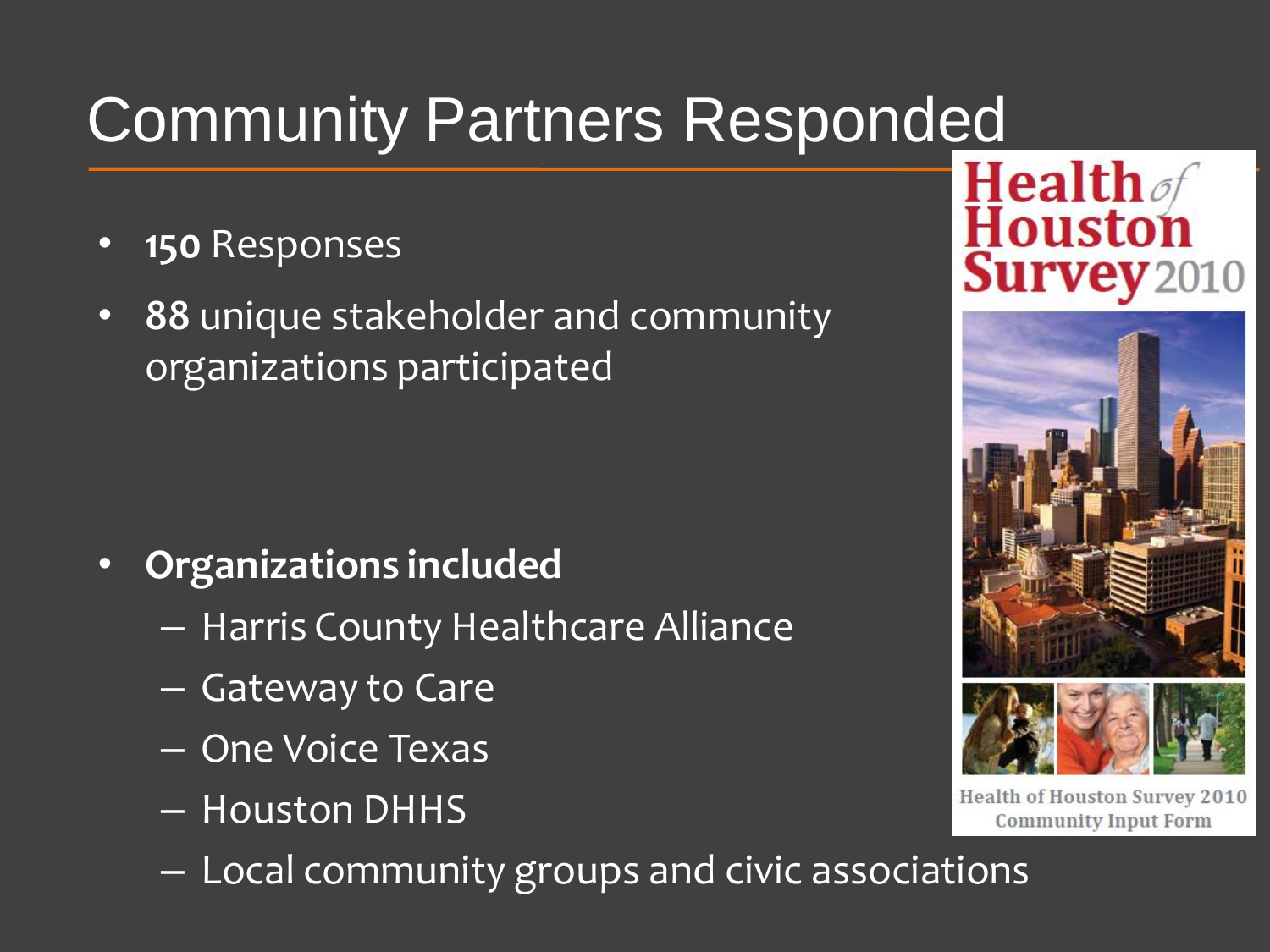## Community Partners Responded

- **150** Responses
- **88** unique stakeholder and community organizations participated

- **Organizations included** 
	- Harris County Healthcare Alliance
	- Gateway to Care
	- One Voice Texas
	- Houston DHHS
	- Local community groups and civic associations





**Health of Houston Survey 2010 Community Input Form**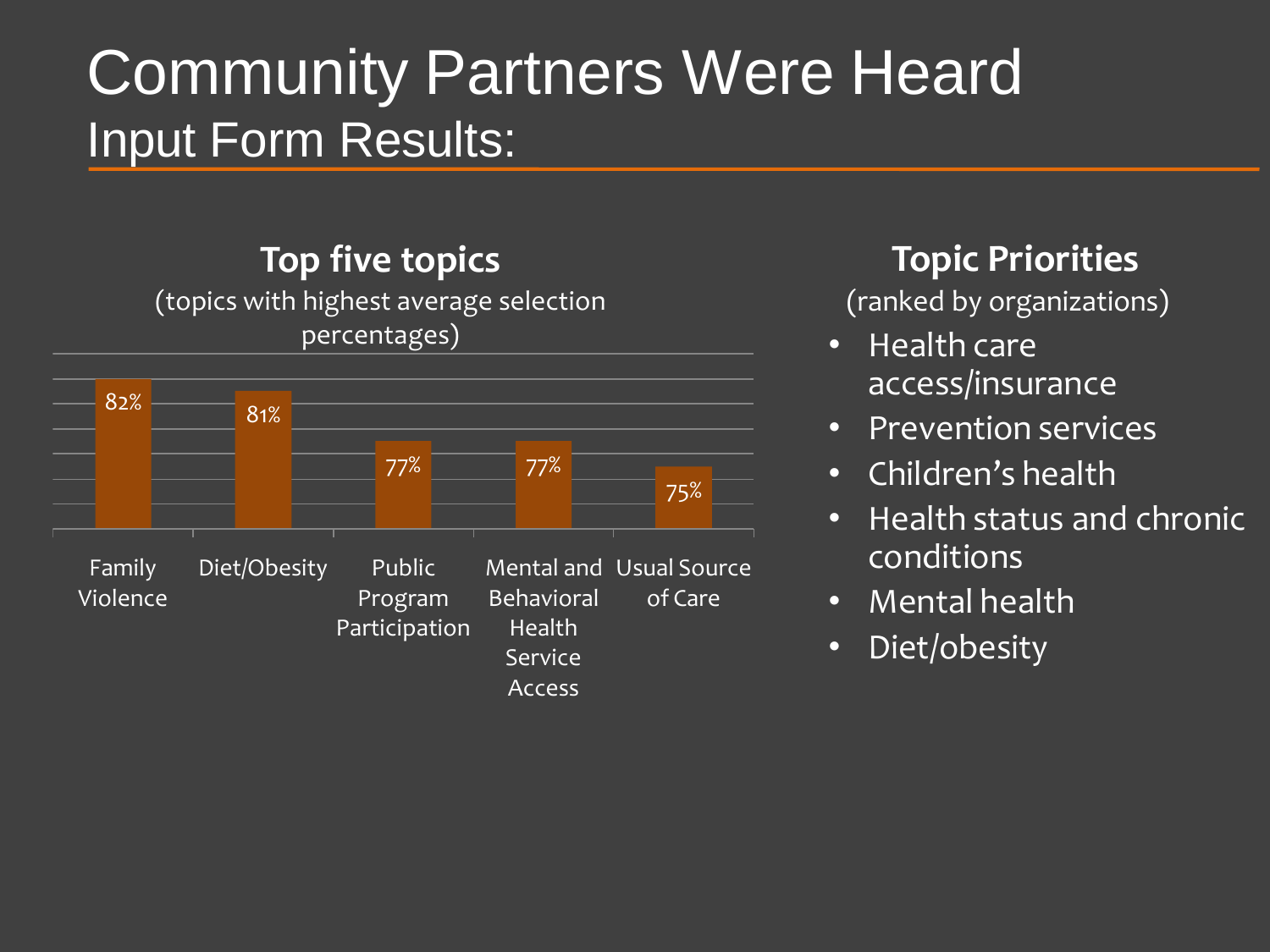#### Community Partners Were Heard Input Form Results:

#### **Top five topics**

(topics with highest average selection percentages)



#### **Topic Priorities**

(ranked by organizations)

- Health care access/insurance
- Prevention services
- Children's health
- Health status and chronic conditions
- Mental health
- Diet/obesity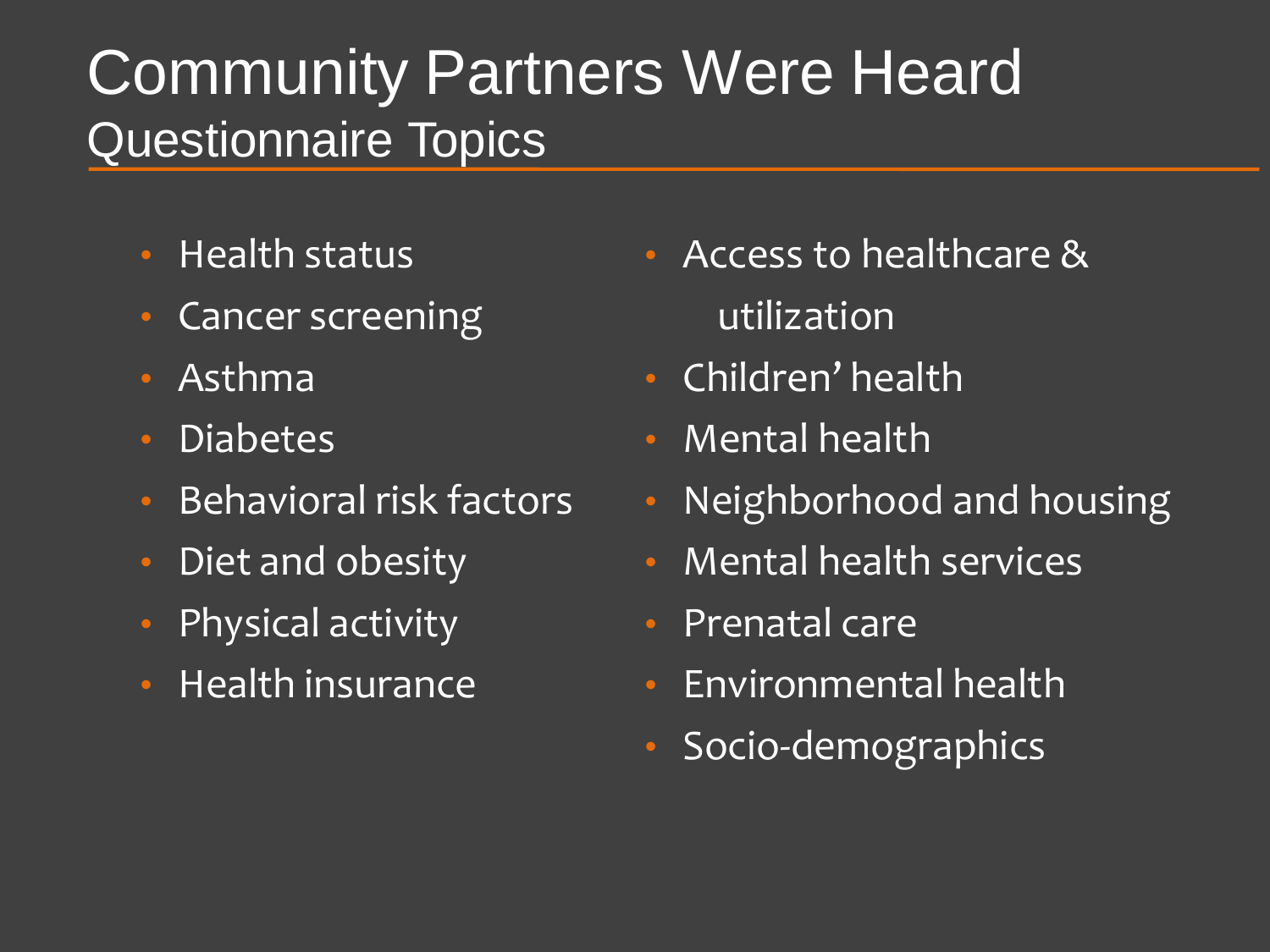#### Community Partners Were Heard Questionnaire Topics

- Health status
- Cancer screening
- Asthma
- Diabetes
- Behavioral risk factors
- Diet and obesity
- Physical activity
- Health insurance
- Access to healthcare & utilization
- Children' health
- Mental health
- Neighborhood and housing
- Mental health services
- Prenatal care
- Environmental health
- Socio-demographics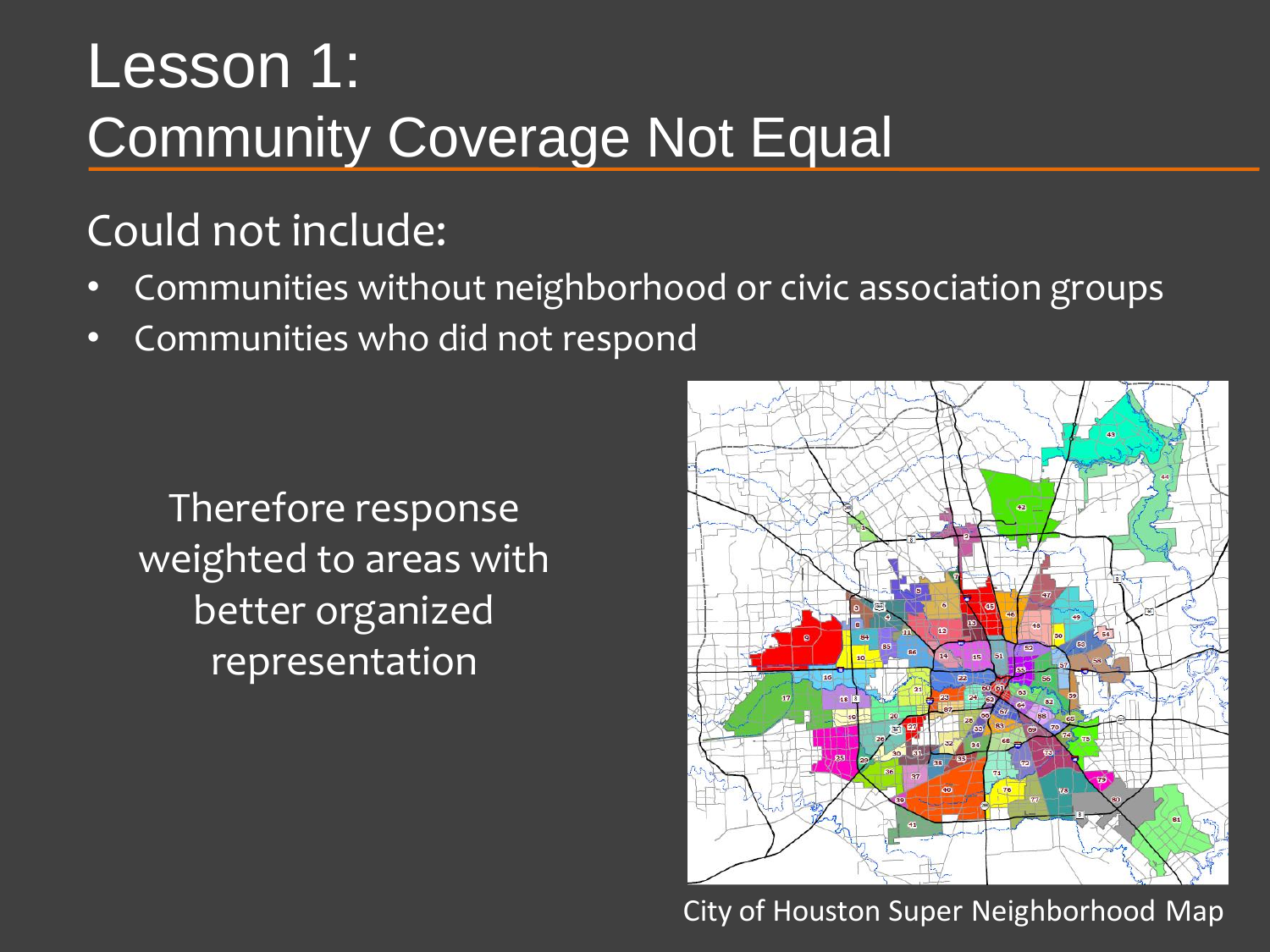#### Lesson 1: Community Coverage Not Equal

#### Could not include:

- Communities without neighborhood or civic association groups
- Communities who did not respond

Therefore response weighted to areas with better organized representation



City of Houston Super Neighborhood Map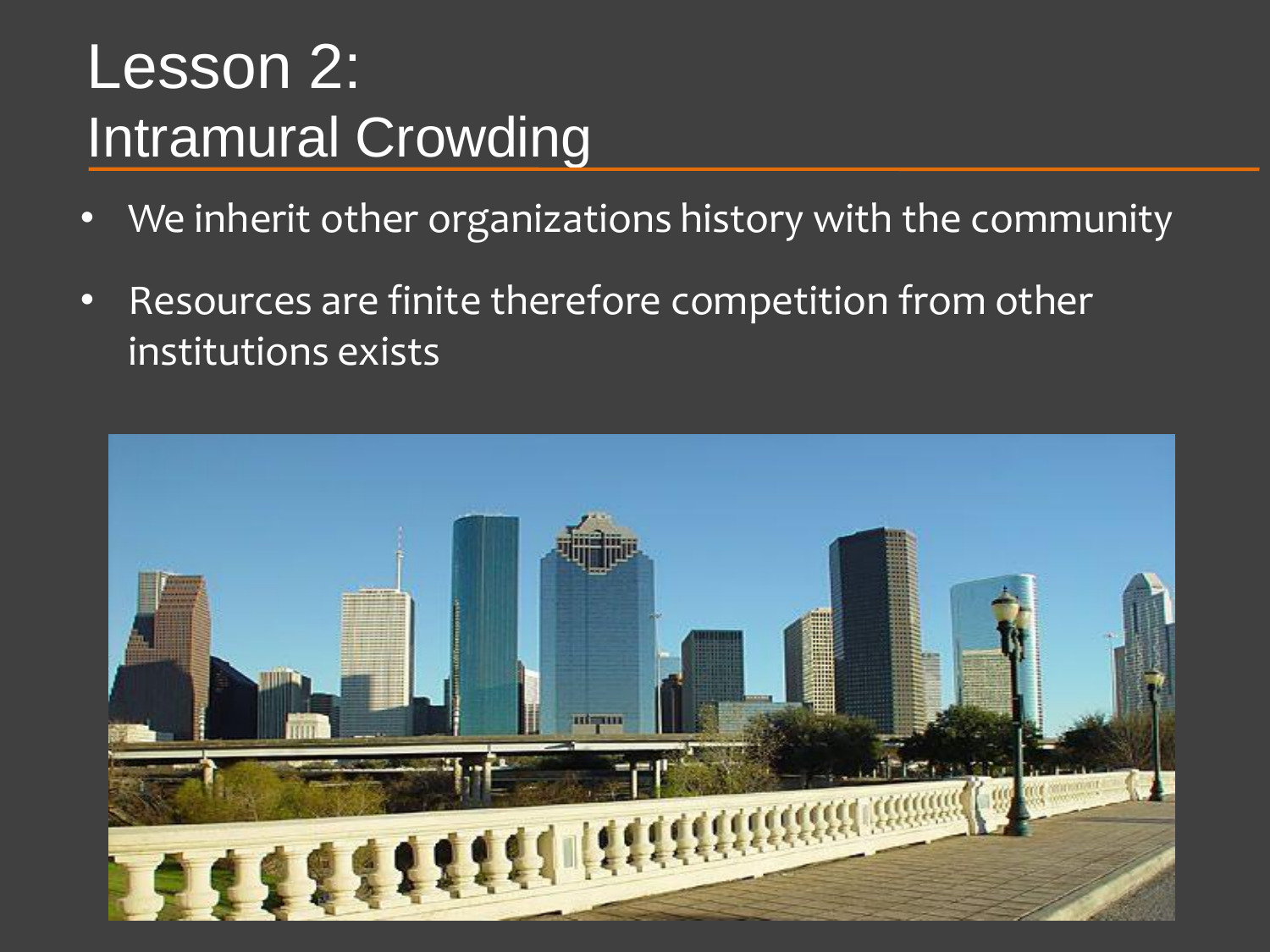#### Lesson 2: Intramural Crowding

- We inherit other organizations history with the community
- Resources are finite therefore competition from other institutions exists

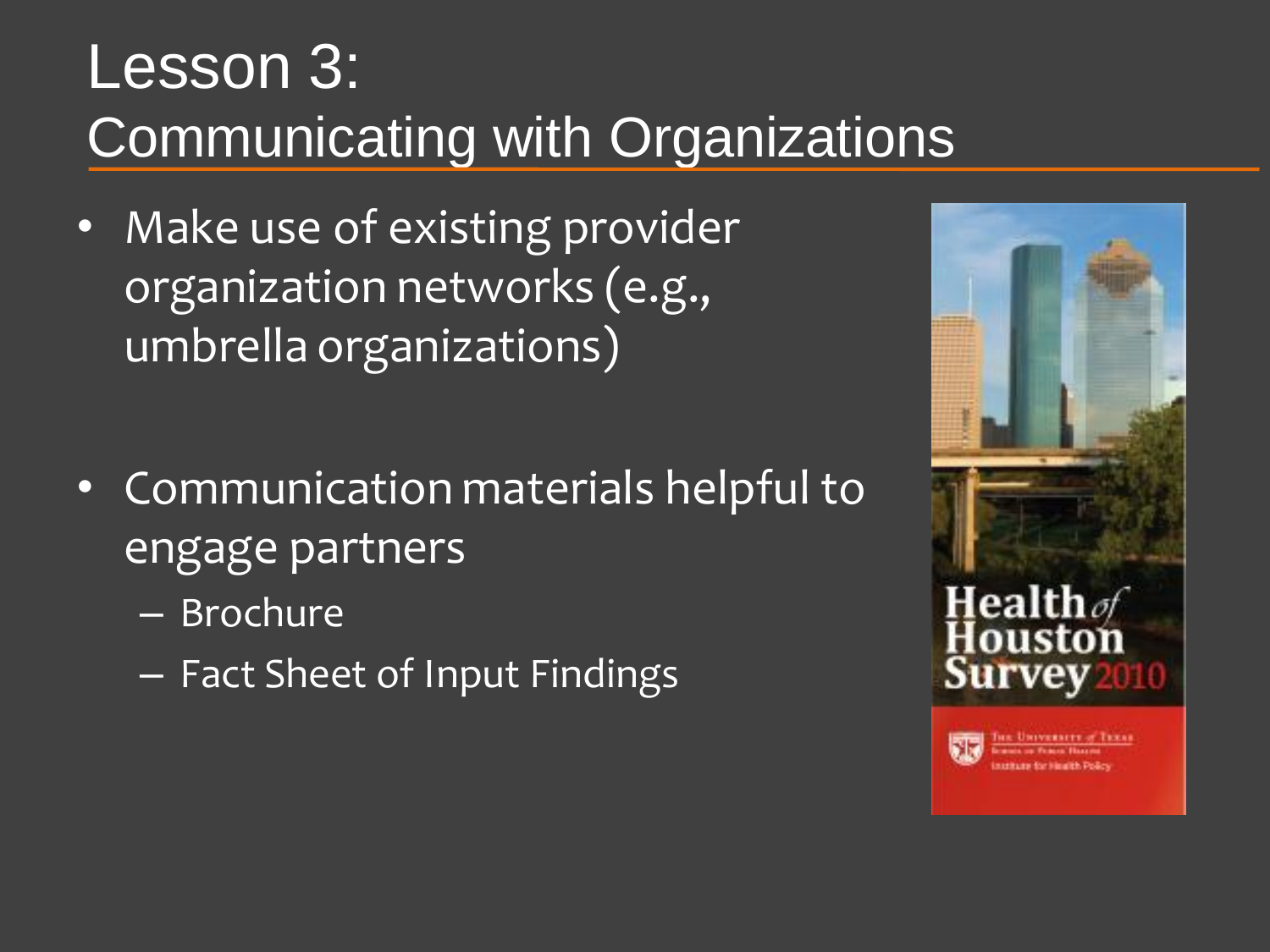#### Lesson 3: Communicating with Organizations

- Make use of existing provider organization networks (e.g., umbrella organizations)
- Communication materials helpful to engage partners
	- Brochure
	- Fact Sheet of Input Findings

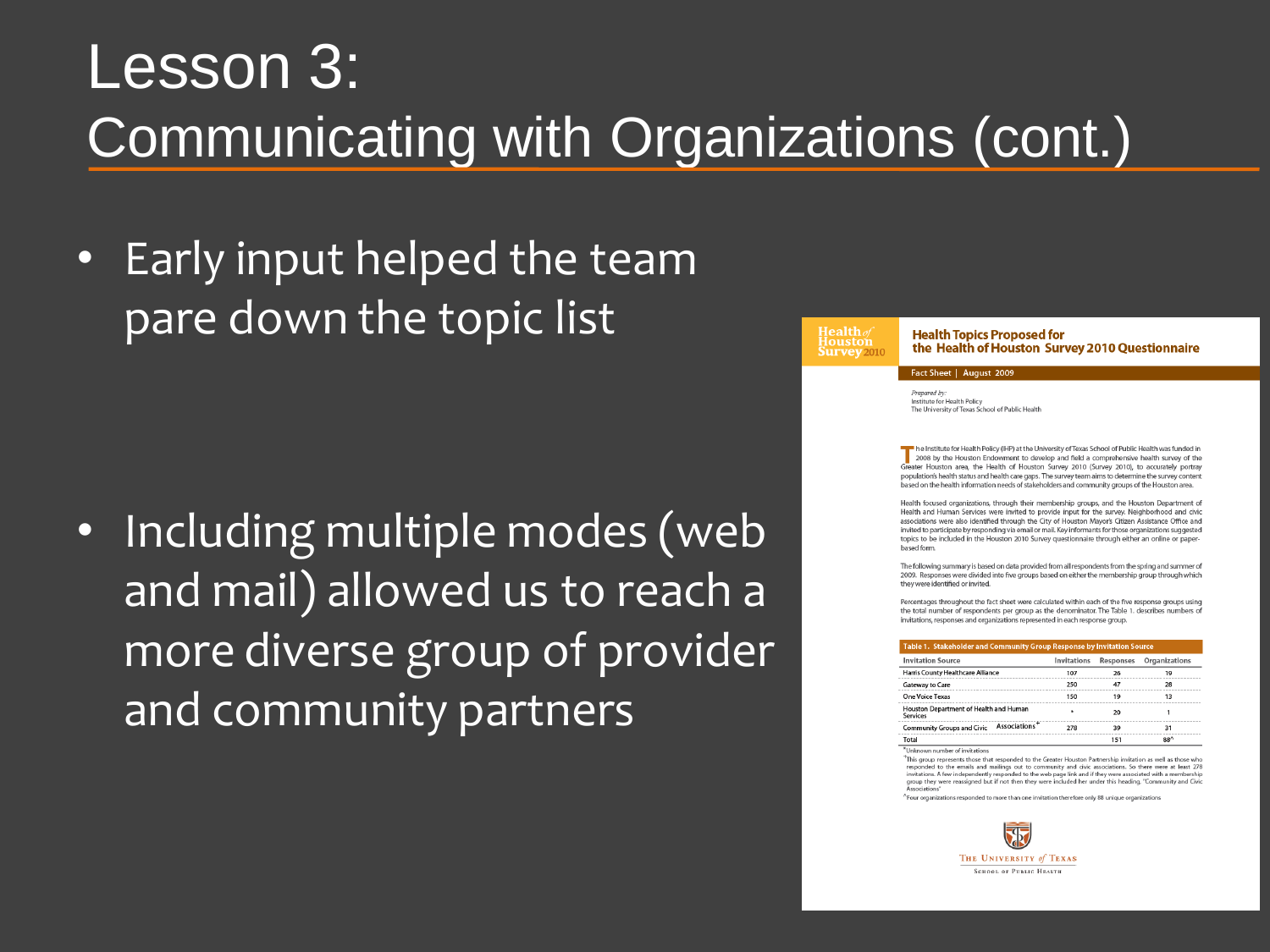#### Lesson 3: Communicating with Organizations (cont.)

• Early input helped the team pare down the topic list

• Including multiple modes (web and mail) allowed us to reach a more diverse group of provider and community partners

#### **Houston**<br>**Survey** 2010

**Health Topics Proposed for** the Health of Houston Survey 2010 Questionnaire

#### Fact Sheet | August 2009

Prepared by: Institute for Health Policy The University of Texas School of Public Health

he Institute for Health Policy (IHP) at the University of Texas School of Public Health was funded in 2008 by the Houston Endowment to develop and field a comprehensive health survey of the Greater Houston area, the Health of Houston Survey 2010 (Survey 2010), to accurately portray population's health status and health care gaps. The survey team aims to determine the survey content .<br>based on the health information needs of stakeholders and community groups of the Houston area.

Health focused organizations, through their membership groups, and the Houston Department of Health and Human Services were invited to provide input for the survey. Neighborhood and civic associations were also identified through the City of Houston Mayor's Citizen Assistance Office and invited to participate by responding via email or mail. Key informants for those organizations suggested topics to be included in the Houston 2010 Survey questionnaire through either an online or paperhased form

The following summary is based on data provided from all respondents from the spring and summer of 2009. Responses were divided into five groups based on either the membership group through which they were identified or invited.

Percentages throughout the fact sheet were calculated within each of the five response groups using the total number of respondents per group as the denominator. The Table 1. describes numbers of invitations, responses and organizations represented in each response group.

#### Table 1 Stakeholder and Community Group Response by Invitation

| <b>Invitation Source</b>                                       | Invitations | Responses | Organizations |  |
|----------------------------------------------------------------|-------------|-----------|---------------|--|
| Harris County Healthcare Alliance                              | 107         | 26        | 19            |  |
| Gateway to Care                                                | 250         | 47        | 28            |  |
| One Voice Texas                                                | 150         | 19        | 13            |  |
| Houston Department of Health and Human<br><b>Services</b>      | ٠           | 20        |               |  |
| Associations <sup>+</sup><br><b>Community Groups and Civic</b> | 278         | 39        | 31            |  |
| Total                                                          |             | 151       | $88^{\wedge}$ |  |

\*Unknown number of invitations

<sup>+</sup>This group represents those that responded to the Greater Houston Partnership inv responded to the emails and mailings out to community and civic associations. So there were at least 278 invitations. A few independently responded to the web page link and if they were associated with a membership<br>group they were reassigned but if not then they were included her under this heading, "Community and Civic sociations

^Four organizations responded to more than one invitation therefore only 88 unique organizations

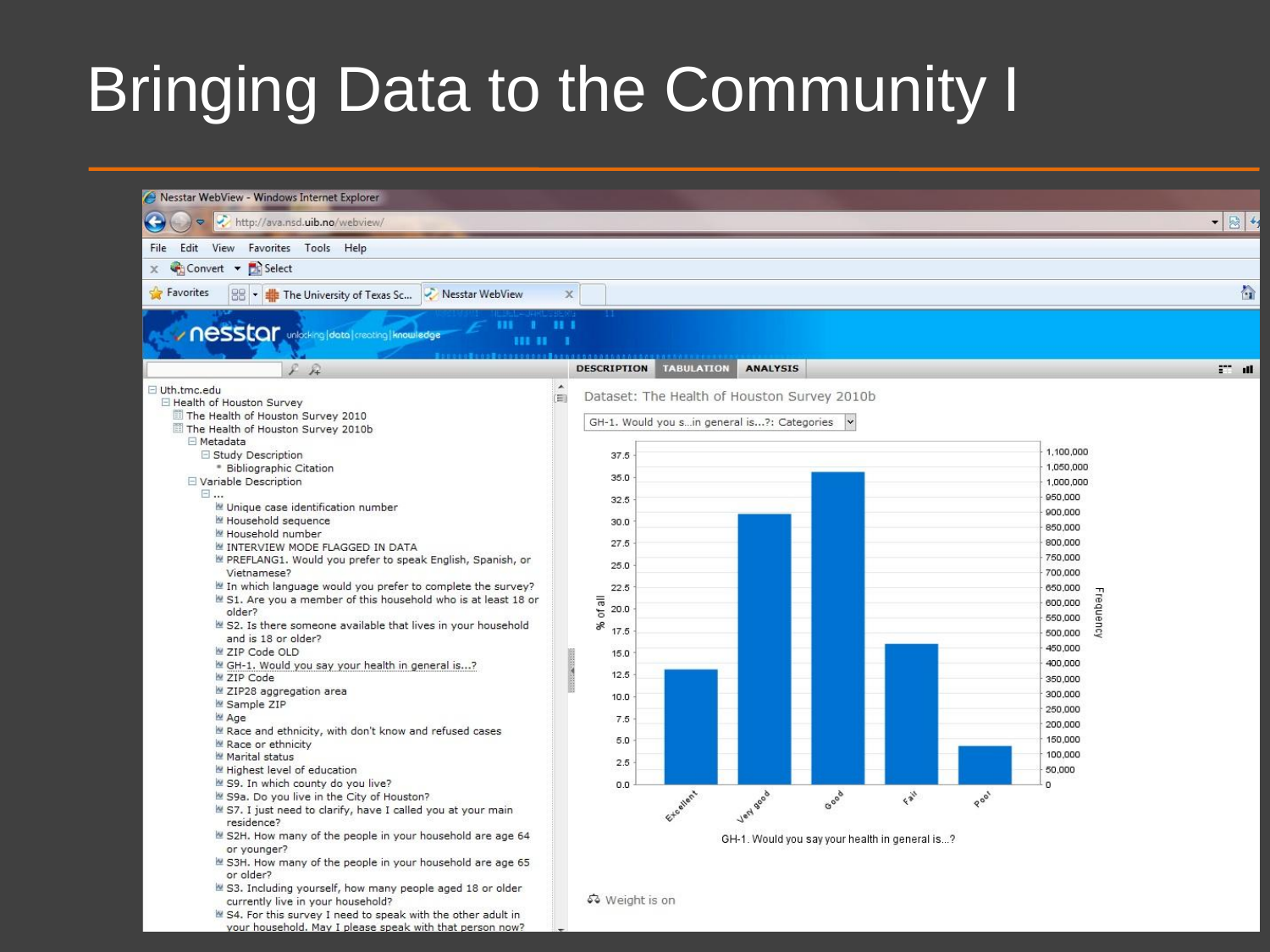### Bringing Data to the Community I

your household. May I please speak with that person now?

| Nesstar WebView - Windows Internet Explorer                                                                                                                                                                                                                                                                                                                                                                                                                                                                                                                                                                                                                                                                                                                                                                                                                                                                                                                                                                                                                                                                                                                       |                          |                                                                                                                                          |                                                                                                          |                 |      |                                                        |      |                                                                                                                                                                                                                                                                            |               |
|-------------------------------------------------------------------------------------------------------------------------------------------------------------------------------------------------------------------------------------------------------------------------------------------------------------------------------------------------------------------------------------------------------------------------------------------------------------------------------------------------------------------------------------------------------------------------------------------------------------------------------------------------------------------------------------------------------------------------------------------------------------------------------------------------------------------------------------------------------------------------------------------------------------------------------------------------------------------------------------------------------------------------------------------------------------------------------------------------------------------------------------------------------------------|--------------------------|------------------------------------------------------------------------------------------------------------------------------------------|----------------------------------------------------------------------------------------------------------|-----------------|------|--------------------------------------------------------|------|----------------------------------------------------------------------------------------------------------------------------------------------------------------------------------------------------------------------------------------------------------------------------|---------------|
| 图4<br>$\bullet$<br>http://ava.nsd.uib.no/webview/<br>$\mathbf{v}$                                                                                                                                                                                                                                                                                                                                                                                                                                                                                                                                                                                                                                                                                                                                                                                                                                                                                                                                                                                                                                                                                                 |                          |                                                                                                                                          |                                                                                                          |                 |      |                                                        |      |                                                                                                                                                                                                                                                                            |               |
| Edit View Favorites Tools Help<br>File                                                                                                                                                                                                                                                                                                                                                                                                                                                                                                                                                                                                                                                                                                                                                                                                                                                                                                                                                                                                                                                                                                                            |                          |                                                                                                                                          |                                                                                                          |                 |      |                                                        |      |                                                                                                                                                                                                                                                                            |               |
| Convert v B Select<br>$\chi$                                                                                                                                                                                                                                                                                                                                                                                                                                                                                                                                                                                                                                                                                                                                                                                                                                                                                                                                                                                                                                                                                                                                      |                          |                                                                                                                                          |                                                                                                          |                 |      |                                                        |      |                                                                                                                                                                                                                                                                            |               |
| <b>Favorites</b><br>$\frac{1}{2}$ $\frac{1}{2}$ The University of Texas Sc<br>Nesstar WebView                                                                                                                                                                                                                                                                                                                                                                                                                                                                                                                                                                                                                                                                                                                                                                                                                                                                                                                                                                                                                                                                     | $\overline{\chi}$        |                                                                                                                                          |                                                                                                          |                 |      |                                                        |      |                                                                                                                                                                                                                                                                            | 合             |
| / Nesstar unlocking data creating Knowledge<br><b>HIH</b> 1                                                                                                                                                                                                                                                                                                                                                                                                                                                                                                                                                                                                                                                                                                                                                                                                                                                                                                                                                                                                                                                                                                       | 11.1                     |                                                                                                                                          |                                                                                                          |                 |      |                                                        |      |                                                                                                                                                                                                                                                                            |               |
| F                                                                                                                                                                                                                                                                                                                                                                                                                                                                                                                                                                                                                                                                                                                                                                                                                                                                                                                                                                                                                                                                                                                                                                 |                          | <b>DESCRIPTION</b>                                                                                                                       | <b>TABULATION</b>                                                                                        | <b>ANALYSIS</b> |      |                                                        |      |                                                                                                                                                                                                                                                                            | <b>ET all</b> |
| □ Uth.tmc.edu<br>□ Health of Houston Survey<br>The Health of Houston Survey 2010<br>The Health of Houston Survey 2010b<br>□ Metadata<br>□ Study Description<br>* Bibliographic Citation<br>□ Variable Description<br>日…<br>Unique case identification number<br>Household sequence<br>Household number<br>IN INTERVIEW MODE FLAGGED IN DATA<br>PREFLANG1. Would you prefer to speak English, Spanish, or<br>Vietnamese?<br>In which language would you prefer to complete the survey?<br>■ S1. Are you a member of this household who is at least 18 or<br>older?<br>S2. Is there someone available that lives in your household<br>and is 18 or older?<br>■ ZIP Code OLD<br>GH-1. Would you say your health in general is?<br>M ZIP Code<br>ZIP28 aggregation area<br>Sample ZIP<br>M Age<br>Race and ethnicity, with don't know and refused cases<br>Race or ethnicity<br>Marital status<br>Highest level of education<br>■ S9. In which county do you live?<br>S9a. Do you live in the City of Houston?<br>S7. I just need to clarify, have I called you at your main<br>residence?<br>S2H. How many of the people in your household are age 64<br>or younger? | $\blacktriangle$<br>i En | 37.5<br>35.0<br>32.5<br>30.0<br>27.5<br>25.0<br>22.5<br>of all<br>20.0<br>S,<br>17.5<br>15.0<br>12.5<br>10.0<br>7.5<br>5.0<br>2.5<br>0.0 | Dataset: The Health of Houston Survey 2010b<br>GH-1. Would you sin general is?: Categories<br>Extraplant | Jert 900 à      | Good | Fair<br>GH-1. Would you say your health in general is? | Pool | 1,100,000<br>1,050,000<br>1,000,000<br>950,000<br>900,000<br>850,000<br>800,000<br>750,000<br>700,000<br>650,000<br>requency<br>600,000<br>550,000<br>500,000<br>450,000<br>400,000<br>350,000<br>300,000<br>250,000<br>200,000<br>150,000<br>100,000<br>50,000<br>$\circ$ |               |
| S3H. How many of the people in your household are age 65<br>or older?<br>S3. Including yourself, how many people aged 18 or older<br>currently live in your household?<br>■ S4. For this survey I need to speak with the other adult in                                                                                                                                                                                                                                                                                                                                                                                                                                                                                                                                                                                                                                                                                                                                                                                                                                                                                                                           |                          | 53 Weight is on                                                                                                                          |                                                                                                          |                 |      |                                                        |      |                                                                                                                                                                                                                                                                            |               |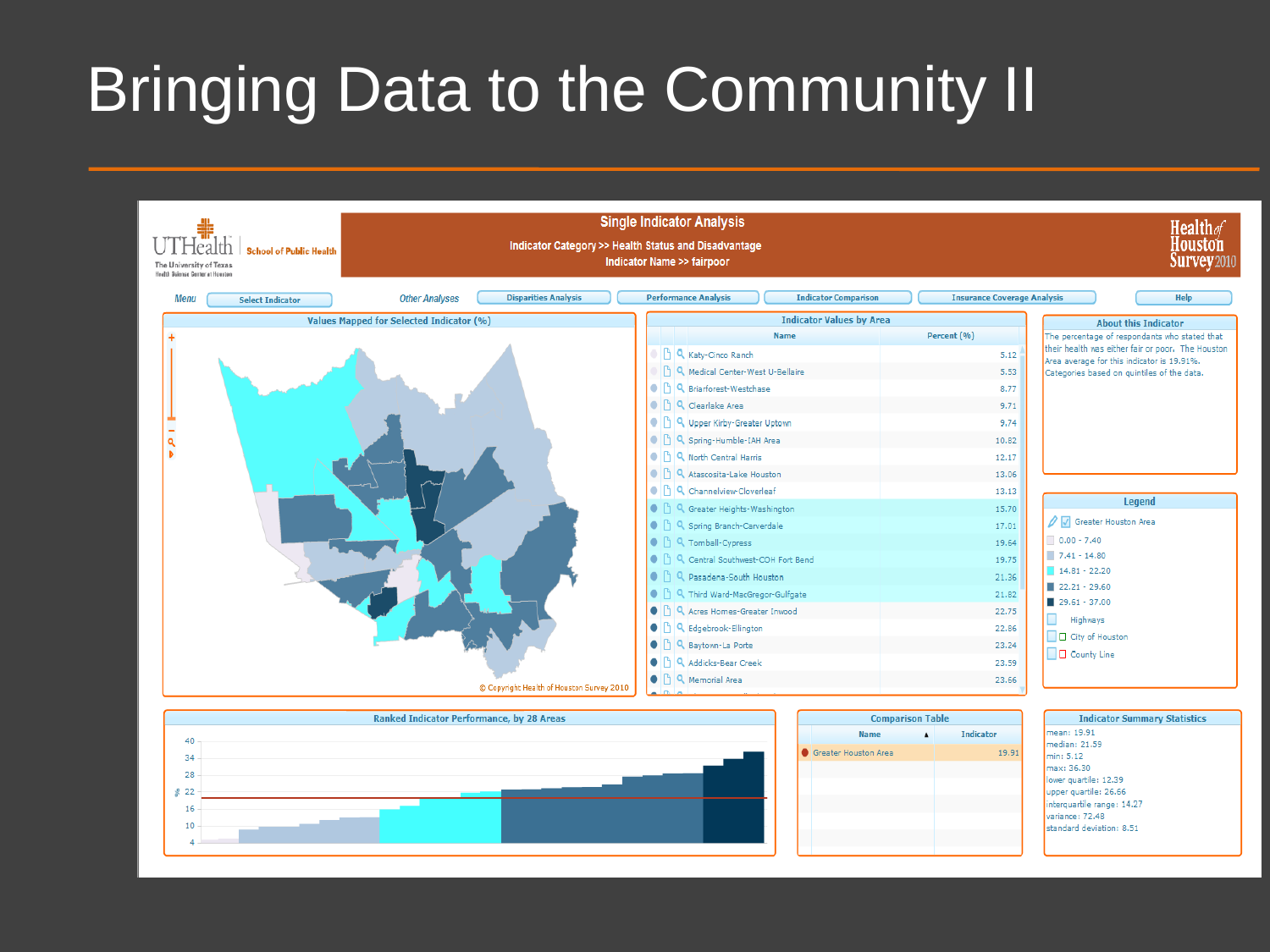## Bringing Data to the Community II